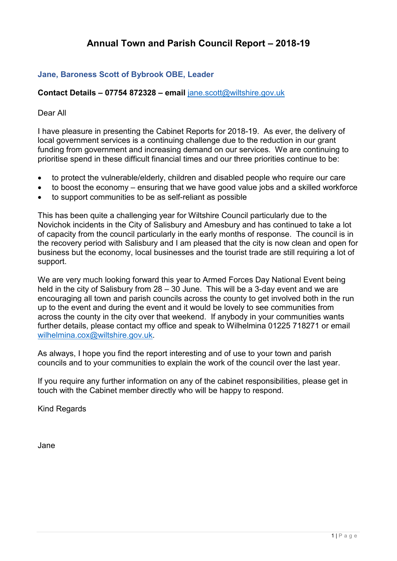# **Annual Town and Parish Council Report – 2018-19**

## **Jane, Baroness Scott of Bybrook OBE, Leader**

## **Contact Details – 07754 872328 – email** [jane.scott@wiltshire.gov.uk](mailto:jane.scott@wiltshire.gov.uk)

### Dear All

I have pleasure in presenting the Cabinet Reports for 2018-19. As ever, the delivery of local government services is a continuing challenge due to the reduction in our grant funding from government and increasing demand on our services. We are continuing to prioritise spend in these difficult financial times and our three priorities continue to be:

- to protect the vulnerable/elderly, children and disabled people who require our care
- to boost the economy ensuring that we have good value jobs and a skilled workforce
- to support communities to be as self-reliant as possible

This has been quite a challenging year for Wiltshire Council particularly due to the Novichok incidents in the City of Salisbury and Amesbury and has continued to take a lot of capacity from the council particularly in the early months of response. The council is in the recovery period with Salisbury and I am pleased that the city is now clean and open for business but the economy, local businesses and the tourist trade are still requiring a lot of support.

We are very much looking forward this year to Armed Forces Day National Event being held in the city of Salisbury from 28 – 30 June. This will be a 3-day event and we are encouraging all town and parish councils across the county to get involved both in the run up to the event and during the event and it would be lovely to see communities from across the county in the city over that weekend. If anybody in your communities wants further details, please contact my office and speak to Wilhelmina 01225 718271 or email [wilhelmina.cox@wiltshire.gov.uk.](mailto:wilhelmina.cox@wiltshire.gov.uk)

As always, I hope you find the report interesting and of use to your town and parish councils and to your communities to explain the work of the council over the last year.

If you require any further information on any of the cabinet responsibilities, please get in touch with the Cabinet member directly who will be happy to respond.

Kind Regards

Jane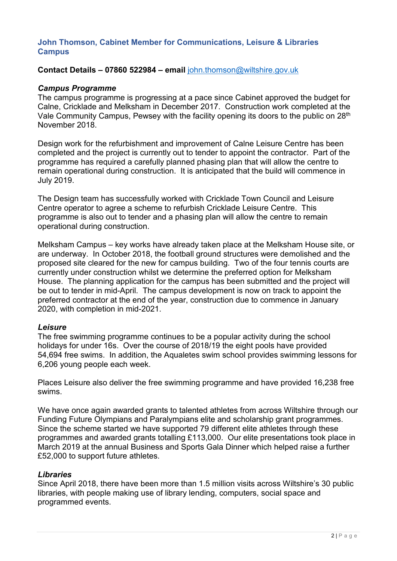### **John Thomson, Cabinet Member for Communications, Leisure & Libraries Campus**

#### **Contact Details – 07860 522984 – email** [john.thomson@wiltshire.gov.uk](mailto:john.thomson@wiltshire.gov.uk)

#### *Campus Programme*

The campus programme is progressing at a pace since Cabinet approved the budget for Calne, Cricklade and Melksham in December 2017. Construction work completed at the Vale Community Campus, Pewsey with the facility opening its doors to the public on 28th November 2018.

Design work for the refurbishment and improvement of Calne Leisure Centre has been completed and the project is currently out to tender to appoint the contractor. Part of the programme has required a carefully planned phasing plan that will allow the centre to remain operational during construction. It is anticipated that the build will commence in July 2019.

The Design team has successfully worked with Cricklade Town Council and Leisure Centre operator to agree a scheme to refurbish Cricklade Leisure Centre. This programme is also out to tender and a phasing plan will allow the centre to remain operational during construction.

Melksham Campus – key works have already taken place at the Melksham House site, or are underway. In October 2018, the football ground structures were demolished and the proposed site cleared for the new for campus building. Two of the four tennis courts are currently under construction whilst we determine the preferred option for Melksham House. The planning application for the campus has been submitted and the project will be out to tender in mid-April. The campus development is now on track to appoint the preferred contractor at the end of the year, construction due to commence in January 2020, with completion in mid-2021.

#### *Leisure*

The free swimming programme continues to be a popular activity during the school holidays for under 16s. Over the course of 2018/19 the eight pools have provided 54,694 free swims. In addition, the Aqualetes swim school provides swimming lessons for 6,206 young people each week.

Places Leisure also deliver the free swimming programme and have provided 16,238 free swims.

We have once again awarded grants to talented athletes from across Wiltshire through our Funding Future Olympians and Paralympians elite and scholarship grant programmes. Since the scheme started we have supported 79 different elite athletes through these programmes and awarded grants totalling £113,000. Our elite presentations took place in March 2019 at the annual Business and Sports Gala Dinner which helped raise a further £52,000 to support future athletes.

#### *Libraries*

Since April 2018, there have been more than 1.5 million visits across Wiltshire's 30 public libraries, with people making use of library lending, computers, social space and programmed events.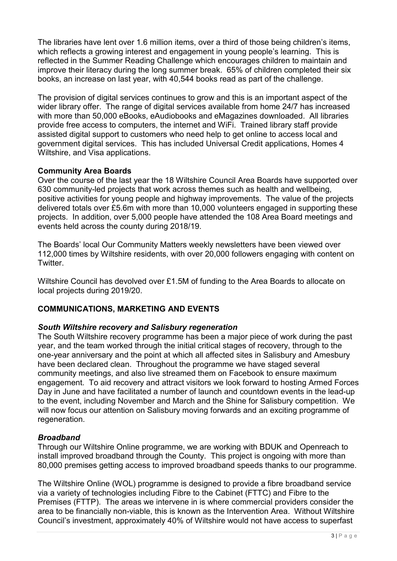The libraries have lent over 1.6 million items, over a third of those being children's items, which reflects a growing interest and engagement in young people's learning. This is reflected in the Summer Reading Challenge which encourages children to maintain and improve their literacy during the long summer break. 65% of children completed their six books, an increase on last year, with 40,544 books read as part of the challenge.

The provision of digital services continues to grow and this is an important aspect of the wider library offer. The range of digital services available from home 24/7 has increased with more than 50,000 eBooks, eAudiobooks and eMagazines downloaded. All libraries provide free access to computers, the internet and WiFi. Trained library staff provide assisted digital support to customers who need help to get online to access local and government digital services. This has included Universal Credit applications, Homes 4 Wiltshire, and Visa applications.

## **Community Area Boards**

Over the course of the last year the 18 Wiltshire Council Area Boards have supported over 630 community-led projects that work across themes such as health and wellbeing, positive activities for young people and highway improvements. The value of the projects delivered totals over £5.6m with more than 10,000 volunteers engaged in supporting these projects. In addition, over 5,000 people have attended the 108 Area Board meetings and events held across the county during 2018/19.

The Boards' local Our Community Matters weekly newsletters have been viewed over 112,000 times by Wiltshire residents, with over 20,000 followers engaging with content on Twitter.

Wiltshire Council has devolved over £1.5M of funding to the Area Boards to allocate on local projects during 2019/20.

## **COMMUNICATIONS, MARKETING AND EVENTS**

### *South Wiltshire recovery and Salisbury regeneration*

The South Wiltshire recovery programme has been a major piece of work during the past year, and the team worked through the initial critical stages of recovery, through to the one-year anniversary and the point at which all affected sites in Salisbury and Amesbury have been declared clean. Throughout the programme we have staged several community meetings, and also live streamed them on Facebook to ensure maximum engagement. To aid recovery and attract visitors we look forward to hosting Armed Forces Day in June and have facilitated a number of launch and countdown events in the lead-up to the event, including November and March and the Shine for Salisbury competition. We will now focus our attention on Salisbury moving forwards and an exciting programme of regeneration.

### *Broadband*

Through our Wiltshire Online programme, we are working with BDUK and Openreach to install improved broadband through the County. This project is ongoing with more than 80,000 premises getting access to improved broadband speeds thanks to our programme.

The Wiltshire Online (WOL) programme is designed to provide a fibre broadband service via a variety of technologies including Fibre to the Cabinet (FTTC) and Fibre to the Premises (FTTP). The areas we intervene in is where commercial providers consider the area to be financially non-viable, this is known as the Intervention Area. Without Wiltshire Council's investment, approximately 40% of Wiltshire would not have access to superfast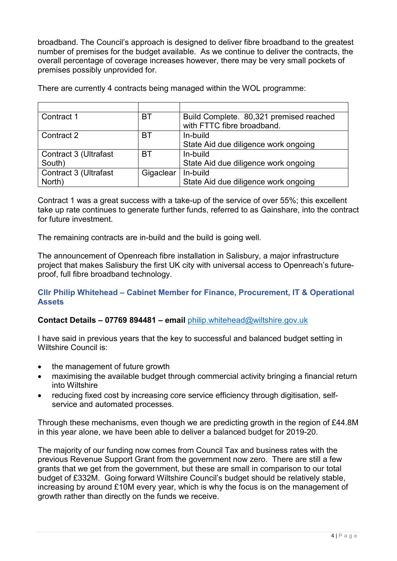broadband. The Council's approach is designed to deliver fibre broadband to the greatest number of premises for the budget available. As we continue to deliver the contracts, the overall percentage of coverage increases however, there may be very small pockets of premises possibly unprovided for.

| There are currently 4 contracts being managed within the WOL programme: |  |  |  |
|-------------------------------------------------------------------------|--|--|--|
|-------------------------------------------------------------------------|--|--|--|

| Contract 1            | BT        | Build Complete. 80,321 premised reached |  |
|-----------------------|-----------|-----------------------------------------|--|
|                       |           | with FTTC fibre broadband.              |  |
| Contract 2            | BT        | In-build                                |  |
|                       |           | State Aid due diligence work ongoing    |  |
| Contract 3 (Ultrafast | BT        | In-build                                |  |
| South)                |           | State Aid due diligence work ongoing    |  |
| Contract 3 (Ultrafast | Gigaclear | In-build                                |  |
| North)                |           | State Aid due diligence work ongoing    |  |

Contract 1 was a great success with a take-up of the service of over 55%; this excellent take up rate continues to generate further funds, referred to as Gainshare, into the contract for future investment.

The remaining contracts are in-build and the build is going well.

The announcement of Openreach fibre installation in Salisbury, a major infrastructure project that makes Salisbury the first UK city with universal access to Openreach's futureproof, full fibre broadband technology.

### **Cllr Philip Whitehead – Cabinet Member for Finance, Procurement, IT & Operational Assets**

## **Contact Details – 07769 894481 – email** [philip.whitehead@wiltshire.gov.uk](mailto:philip.whitehead@wiltshire.gov.uk)

I have said in previous years that the key to successful and balanced budget setting in Wiltshire Council is:

- the management of future growth
- maximising the available budget through commercial activity bringing a financial return into Wiltshire
- reducing fixed cost by increasing core service efficiency through digitisation, selfservice and automated processes.

Through these mechanisms, even though we are predicting growth in the region of £44.8M in this year alone, we have been able to deliver a balanced budget for 2019-20.

The majority of our funding now comes from Council Tax and business rates with the previous Revenue Support Grant from the government now zero. There are still a few grants that we get from the government, but these are small in comparison to our total budget of £332M. Going forward Wiltshire Council's budget should be relatively stable, increasing by around £10M every year, which is why the focus is on the management of growth rather than directly on the funds we receive.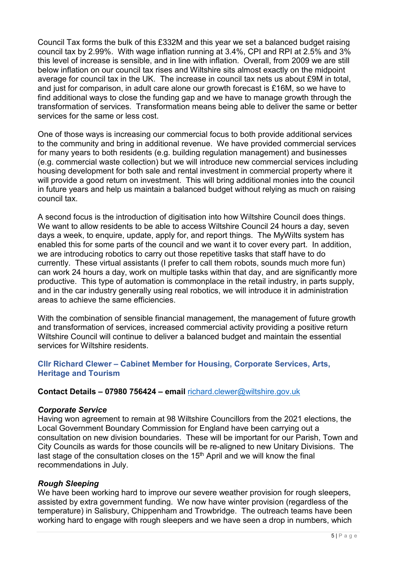Council Tax forms the bulk of this £332M and this year we set a balanced budget raising council tax by 2.99%. With wage inflation running at 3.4%, CPI and RPI at 2.5% and 3% this level of increase is sensible, and in line with inflation. Overall, from 2009 we are still below inflation on our council tax rises and Wiltshire sits almost exactly on the midpoint average for council tax in the UK. The increase in council tax nets us about £9M in total, and just for comparison, in adult care alone our growth forecast is £16M, so we have to find additional ways to close the funding gap and we have to manage growth through the transformation of services. Transformation means being able to deliver the same or better services for the same or less cost.

One of those ways is increasing our commercial focus to both provide additional services to the community and bring in additional revenue. We have provided commercial services for many years to both residents (e.g. building regulation management) and businesses (e.g. commercial waste collection) but we will introduce new commercial services including housing development for both sale and rental investment in commercial property where it will provide a good return on investment. This will bring additional monies into the council in future years and help us maintain a balanced budget without relying as much on raising council tax.

A second focus is the introduction of digitisation into how Wiltshire Council does things. We want to allow residents to be able to access Wiltshire Council 24 hours a day, seven days a week, to enquire, update, apply for, and report things. The MyWilts system has enabled this for some parts of the council and we want it to cover every part. In addition, we are introducing robotics to carry out those repetitive tasks that staff have to do currently. These virtual assistants (I prefer to call them robots, sounds much more fun) can work 24 hours a day, work on multiple tasks within that day, and are significantly more productive. This type of automation is commonplace in the retail industry, in parts supply, and in the car industry generally using real robotics, we will introduce it in administration areas to achieve the same efficiencies.

With the combination of sensible financial management, the management of future growth and transformation of services, increased commercial activity providing a positive return Wiltshire Council will continue to deliver a balanced budget and maintain the essential services for Wiltshire residents.

## **Cllr Richard Clewer – Cabinet Member for Housing, Corporate Services, Arts, Heritage and Tourism**

### **Contact Details – 07980 756424 – email** [richard.clewer@wiltshire.gov.uk](mailto:richard.clewer@wiltshire.gov.uk)

### *Corporate Service*

Having won agreement to remain at 98 Wiltshire Councillors from the 2021 elections, the Local Government Boundary Commission for England have been carrying out a consultation on new division boundaries. These will be important for our Parish, Town and City Councils as wards for those councils will be re-aligned to new Unitary Divisions. The last stage of the consultation closes on the 15<sup>th</sup> April and we will know the final recommendations in July.

### *Rough Sleeping*

We have been working hard to improve our severe weather provision for rough sleepers, assisted by extra government funding. We now have winter provision (regardless of the temperature) in Salisbury, Chippenham and Trowbridge. The outreach teams have been working hard to engage with rough sleepers and we have seen a drop in numbers, which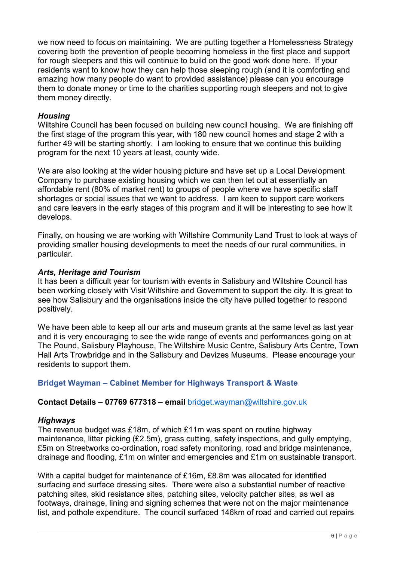we now need to focus on maintaining. We are putting together a Homelessness Strategy covering both the prevention of people becoming homeless in the first place and support for rough sleepers and this will continue to build on the good work done here. If your residents want to know how they can help those sleeping rough (and it is comforting and amazing how many people do want to provided assistance) please can you encourage them to donate money or time to the charities supporting rough sleepers and not to give them money directly.

## *Housing*

Wiltshire Council has been focused on building new council housing. We are finishing off the first stage of the program this year, with 180 new council homes and stage 2 with a further 49 will be starting shortly. I am looking to ensure that we continue this building program for the next 10 years at least, county wide.

We are also looking at the wider housing picture and have set up a Local Development Company to purchase existing housing which we can then let out at essentially an affordable rent (80% of market rent) to groups of people where we have specific staff shortages or social issues that we want to address. I am keen to support care workers and care leavers in the early stages of this program and it will be interesting to see how it develops.

Finally, on housing we are working with Wiltshire Community Land Trust to look at ways of providing smaller housing developments to meet the needs of our rural communities, in particular.

#### *Arts, Heritage and Tourism*

It has been a difficult year for tourism with events in Salisbury and Wiltshire Council has been working closely with Visit Wiltshire and Government to support the city. It is great to see how Salisbury and the organisations inside the city have pulled together to respond positively.

We have been able to keep all our arts and museum grants at the same level as last year and it is very encouraging to see the wide range of events and performances going on at The Pound, Salisbury Playhouse, The Wiltshire Music Centre, Salisbury Arts Centre, Town Hall Arts Trowbridge and in the Salisbury and Devizes Museums. Please encourage your residents to support them.

### **Bridget Wayman – Cabinet Member for Highways Transport & Waste**

### **Contact Details – 07769 677318 – email** [bridget.wayman@wiltshire.gov.uk](mailto:bridget.wayman@wiltshire.gov.uk)

#### *Highways*

The revenue budget was £18m, of which £11m was spent on routine highway maintenance, litter picking (£2.5m), grass cutting, safety inspections, and gully emptying, £5m on Streetworks co-ordination, road safety monitoring, road and bridge maintenance, drainage and flooding, £1m on winter and emergencies and £1m on sustainable transport.

With a capital budget for maintenance of £16m, £8.8m was allocated for identified surfacing and surface dressing sites. There were also a substantial number of reactive patching sites, skid resistance sites, patching sites, velocity patcher sites, as well as footways, drainage, lining and signing schemes that were not on the major maintenance list, and pothole expenditure. The council surfaced 146km of road and carried out repairs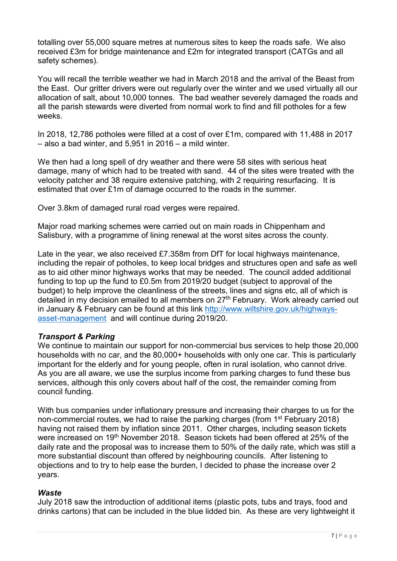totalling over 55,000 square metres at numerous sites to keep the roads safe. We also received £3m for bridge maintenance and £2m for integrated transport (CATGs and all safety schemes).

You will recall the terrible weather we had in March 2018 and the arrival of the Beast from the East. Our gritter drivers were out regularly over the winter and we used virtually all our allocation of salt, about 10,000 tonnes. The bad weather severely damaged the roads and all the parish stewards were diverted from normal work to find and fill potholes for a few weeks.

In 2018, 12,786 potholes were filled at a cost of over £1m, compared with 11,488 in 2017 – also a bad winter, and 5,951 in 2016 – a mild winter.

We then had a long spell of dry weather and there were 58 sites with serious heat damage, many of which had to be treated with sand. 44 of the sites were treated with the velocity patcher and 38 require extensive patching, with 2 requiring resurfacing. It is estimated that over £1m of damage occurred to the roads in the summer.

Over 3.8km of damaged rural road verges were repaired.

Major road marking schemes were carried out on main roads in Chippenham and Salisbury, with a programme of lining renewal at the worst sites across the county.

Late in the year, we also received £7.358m from DfT for local highways maintenance, including the repair of potholes, to keep local bridges and structures open and safe as well as to aid other minor highways works that may be needed. The council added additional funding to top up the fund to £0.5m from 2019/20 budget (subject to approval of the budget) to help improve the cleanliness of the streets, lines and signs etc, all of which is detailed in my decision emailed to all members on 27<sup>th</sup> February. Work already carried out in January & February can be found at this link [http://www.wiltshire.gov.uk/highways](http://www.wiltshire.gov.uk/highways-asset-management)[asset-management](http://www.wiltshire.gov.uk/highways-asset-management) and will continue during 2019/20.

## *Transport & Parking*

We continue to maintain our support for non-commercial bus services to help those 20,000 households with no car, and the 80,000+ households with only one car. This is particularly important for the elderly and for young people, often in rural isolation, who cannot drive. As you are all aware, we use the surplus income from parking charges to fund these bus services, although this only covers about half of the cost, the remainder coming from council funding.

With bus companies under inflationary pressure and increasing their charges to us for the non-commercial routes, we had to raise the parking charges (from 1<sup>st</sup> February 2018) having not raised them by inflation since 2011. Other charges, including season tickets were increased on 19<sup>th</sup> November 2018. Season tickets had been offered at 25% of the daily rate and the proposal was to increase them to 50% of the daily rate, which was still a more substantial discount than offered by neighbouring councils. After listening to objections and to try to help ease the burden, I decided to phase the increase over 2 years.

### *Waste*

July 2018 saw the introduction of additional items (plastic pots, tubs and trays, food and drinks cartons) that can be included in the blue lidded bin. As these are very lightweight it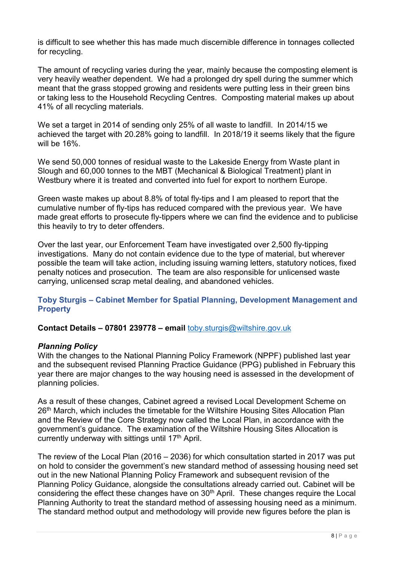is difficult to see whether this has made much discernible difference in tonnages collected for recycling.

The amount of recycling varies during the year, mainly because the composting element is very heavily weather dependent. We had a prolonged dry spell during the summer which meant that the grass stopped growing and residents were putting less in their green bins or taking less to the Household Recycling Centres. Composting material makes up about 41% of all recycling materials.

We set a target in 2014 of sending only 25% of all waste to landfill. In 2014/15 we achieved the target with 20.28% going to landfill. In 2018/19 it seems likely that the figure will be 16%.

We send 50,000 tonnes of residual waste to the Lakeside Energy from Waste plant in Slough and 60,000 tonnes to the MBT (Mechanical & Biological Treatment) plant in Westbury where it is treated and converted into fuel for export to northern Europe.

Green waste makes up about 8.8% of total fly-tips and I am pleased to report that the cumulative number of fly-tips has reduced compared with the previous year. We have made great efforts to prosecute fly-tippers where we can find the evidence and to publicise this heavily to try to deter offenders.

Over the last year, our Enforcement Team have investigated over 2,500 fly-tipping investigations. Many do not contain evidence due to the type of material, but wherever possible the team will take action, including issuing warning letters, statutory notices, fixed penalty notices and prosecution. The team are also responsible for unlicensed waste carrying, unlicensed scrap metal dealing, and abandoned vehicles.

## **Toby Sturgis – Cabinet Member for Spatial Planning, Development Management and Property**

### **Contact Details – 07801 239778 – email** [toby.sturgis@wiltshire.gov.uk](mailto:toby.sturgis@wiltshire.gov.uk)

#### *Planning Policy*

With the changes to the National Planning Policy Framework (NPPF) published last year and the subsequent revised Planning Practice Guidance (PPG) published in February this year there are major changes to the way housing need is assessed in the development of planning policies.

As a result of these changes, Cabinet agreed a revised Local Development Scheme on 26<sup>th</sup> March, which includes the timetable for the Wiltshire Housing Sites Allocation Plan and the Review of the Core Strategy now called the Local Plan, in accordance with the government's guidance. The examination of the Wiltshire Housing Sites Allocation is currently underway with sittings until  $17<sup>th</sup>$  April.

The review of the Local Plan (2016 – 2036) for which consultation started in 2017 was put on hold to consider the government's new standard method of assessing housing need set out in the new National Planning Policy Framework and subsequent revision of the Planning Policy Guidance, alongside the consultations already carried out. Cabinet will be considering the effect these changes have on 30<sup>th</sup> April. These changes require the Local Planning Authority to treat the standard method of assessing housing need as a minimum. The standard method output and methodology will provide new figures before the plan is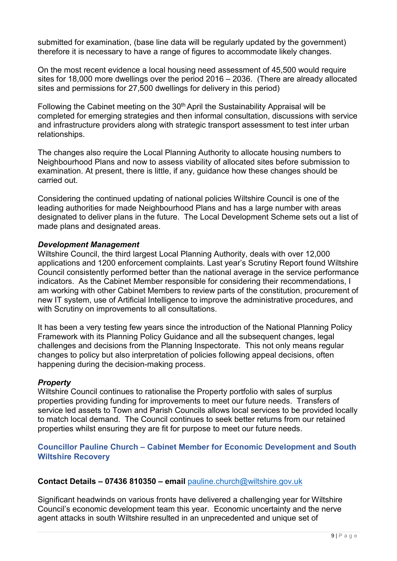submitted for examination, (base line data will be regularly updated by the government) therefore it is necessary to have a range of figures to accommodate likely changes.

On the most recent evidence a local housing need assessment of 45,500 would require sites for 18,000 more dwellings over the period 2016 – 2036. (There are already allocated sites and permissions for 27,500 dwellings for delivery in this period)

Following the Cabinet meeting on the 30<sup>th</sup> April the Sustainability Appraisal will be completed for emerging strategies and then informal consultation, discussions with service and infrastructure providers along with strategic transport assessment to test inter urban relationships.

The changes also require the Local Planning Authority to allocate housing numbers to Neighbourhood Plans and now to assess viability of allocated sites before submission to examination. At present, there is little, if any, guidance how these changes should be carried out.

Considering the continued updating of national policies Wiltshire Council is one of the leading authorities for made Neighbourhood Plans and has a large number with areas designated to deliver plans in the future. The Local Development Scheme sets out a list of made plans and designated areas.

### *Development Management*

Wiltshire Council, the third largest Local Planning Authority, deals with over 12,000 applications and 1200 enforcement complaints. Last year's Scrutiny Report found Wiltshire Council consistently performed better than the national average in the service performance indicators. As the Cabinet Member responsible for considering their recommendations, I am working with other Cabinet Members to review parts of the constitution, procurement of new IT system, use of Artificial Intelligence to improve the administrative procedures, and with Scrutiny on improvements to all consultations.

It has been a very testing few years since the introduction of the National Planning Policy Framework with its Planning Policy Guidance and all the subsequent changes, legal challenges and decisions from the Planning Inspectorate. This not only means regular changes to policy but also interpretation of policies following appeal decisions, often happening during the decision-making process.

### *Property*

Wiltshire Council continues to rationalise the Property portfolio with sales of surplus properties providing funding for improvements to meet our future needs. Transfers of service led assets to Town and Parish Councils allows local services to be provided locally to match local demand. The Council continues to seek better returns from our retained properties whilst ensuring they are fit for purpose to meet our future needs.

## **Councillor Pauline Church – Cabinet Member for Economic Development and South Wiltshire Recovery**

### **Contact Details – 07436 810350 – email** [pauline.church@wiltshire.gov.uk](mailto:pauline.church@wiltshire.gov.uk)

Significant headwinds on various fronts have delivered a challenging year for Wiltshire Council's economic development team this year. Economic uncertainty and the nerve agent attacks in south Wiltshire resulted in an unprecedented and unique set of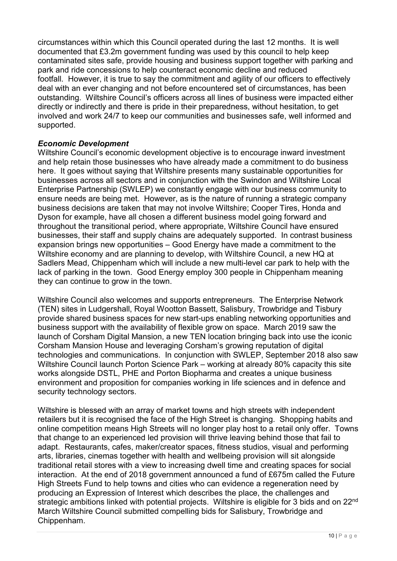circumstances within which this Council operated during the last 12 months. It is well documented that £3.2m government funding was used by this council to help keep contaminated sites safe, provide housing and business support together with parking and park and ride concessions to help counteract economic decline and reduced footfall. However, it is true to say the commitment and agility of our officers to effectively deal with an ever changing and not before encountered set of circumstances, has been outstanding. Wiltshire Council's officers across all lines of business were impacted either directly or indirectly and there is pride in their preparedness, without hesitation, to get involved and work 24/7 to keep our communities and businesses safe, well informed and supported.

### *Economic Development*

Wiltshire Council's economic development objective is to encourage inward investment and help retain those businesses who have already made a commitment to do business here. It goes without saying that Wiltshire presents many sustainable opportunities for businesses across all sectors and in conjunction with the Swindon and Wiltshire Local Enterprise Partnership (SWLEP) we constantly engage with our business community to ensure needs are being met. However, as is the nature of running a strategic company business decisions are taken that may not involve Wiltshire; Cooper Tires, Honda and Dyson for example, have all chosen a different business model going forward and throughout the transitional period, where appropriate, Wiltshire Council have ensured businesses, their staff and supply chains are adequately supported. In contrast business expansion brings new opportunities – Good Energy have made a commitment to the Wiltshire economy and are planning to develop, with Wiltshire Council, a new HQ at Sadlers Mead, Chippenham which will include a new multi-level car park to help with the lack of parking in the town. Good Energy employ 300 people in Chippenham meaning they can continue to grow in the town.

Wiltshire Council also welcomes and supports entrepreneurs. The Enterprise Network (TEN) sites in Ludgershall, Royal Wootton Bassett, Salisbury, Trowbridge and Tisbury provide shared business spaces for new start-ups enabling networking opportunities and business support with the availability of flexible grow on space. March 2019 saw the launch of Corsham Digital Mansion, a new TEN location bringing back into use the iconic Corsham Mansion House and leveraging Corsham's growing reputation of digital technologies and communications. In conjunction with SWLEP, September 2018 also saw Wiltshire Council launch Porton Science Park – working at already 80% capacity this site works alongside DSTL, PHE and Porton Biopharma and creates a unique business environment and proposition for companies working in life sciences and in defence and security technology sectors.

Wiltshire is blessed with an array of market towns and high streets with independent retailers but it is recognised the face of the High Street is changing. Shopping habits and online competition means High Streets will no longer play host to a retail only offer. Towns that change to an experienced led provision will thrive leaving behind those that fail to adapt. Restaurants, cafes, maker/creator spaces, fitness studios, visual and performing arts, libraries, cinemas together with health and wellbeing provision will sit alongside traditional retail stores with a view to increasing dwell time and creating spaces for social interaction. At the end of 2018 government announced a fund of £675m called the Future High Streets Fund to help towns and cities who can evidence a regeneration need by producing an Expression of Interest which describes the place, the challenges and strategic ambitions linked with potential projects. Wiltshire is eligible for 3 bids and on 22<sup>nd</sup> March Wiltshire Council submitted compelling bids for Salisbury, Trowbridge and Chippenham.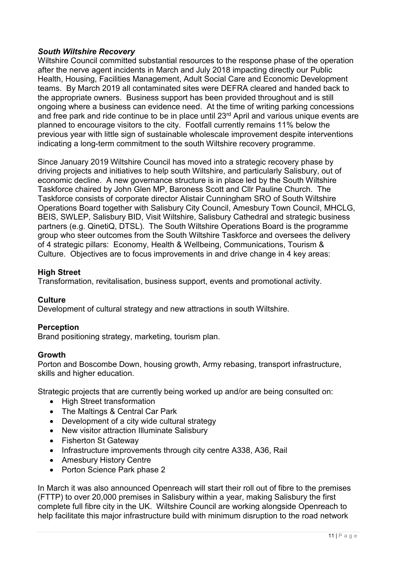## *South Wiltshire Recovery*

Wiltshire Council committed substantial resources to the response phase of the operation after the nerve agent incidents in March and July 2018 impacting directly our Public Health, Housing, Facilities Management, Adult Social Care and Economic Development teams. By March 2019 all contaminated sites were DEFRA cleared and handed back to the appropriate owners. Business support has been provided throughout and is still ongoing where a business can evidence need. At the time of writing parking concessions and free park and ride continue to be in place until 23<sup>rd</sup> April and various unique events are planned to encourage visitors to the city. Footfall currently remains 11% below the previous year with little sign of sustainable wholescale improvement despite interventions indicating a long-term commitment to the south Wiltshire recovery programme.

Since January 2019 Wiltshire Council has moved into a strategic recovery phase by driving projects and initiatives to help south Wiltshire, and particularly Salisbury, out of economic decline. A new governance structure is in place led by the South Wiltshire Taskforce chaired by John Glen MP, Baroness Scott and Cllr Pauline Church. The Taskforce consists of corporate director Alistair Cunningham SRO of South Wiltshire Operations Board together with Salisbury City Council, Amesbury Town Council, MHCLG, BEIS, SWLEP, Salisbury BID, Visit Wiltshire, Salisbury Cathedral and strategic business partners (e.g. QinetiQ, DTSL). The South Wiltshire Operations Board is the programme group who steer outcomes from the South Wiltshire Taskforce and oversees the delivery of 4 strategic pillars: Economy, Health & Wellbeing, Communications, Tourism & Culture. Objectives are to focus improvements in and drive change in 4 key areas:

### **High Street**

Transformation, revitalisation, business support, events and promotional activity.

### **Culture**

Development of cultural strategy and new attractions in south Wiltshire.

### **Perception**

Brand positioning strategy, marketing, tourism plan.

#### **Growth**

Porton and Boscombe Down, housing growth, Army rebasing, transport infrastructure, skills and higher education.

Strategic projects that are currently being worked up and/or are being consulted on:

- High Street transformation
- The Maltings & Central Car Park
- Development of a city wide cultural strategy
- New visitor attraction Illuminate Salisbury
- Fisherton St Gateway
- Infrastructure improvements through city centre A338, A36, Rail
- Amesbury History Centre
- Porton Science Park phase 2

In March it was also announced Openreach will start their roll out of fibre to the premises (FTTP) to over 20,000 premises in Salisbury within a year, making Salisbury the first complete full fibre city in the UK. Wiltshire Council are working alongside Openreach to help facilitate this major infrastructure build with minimum disruption to the road network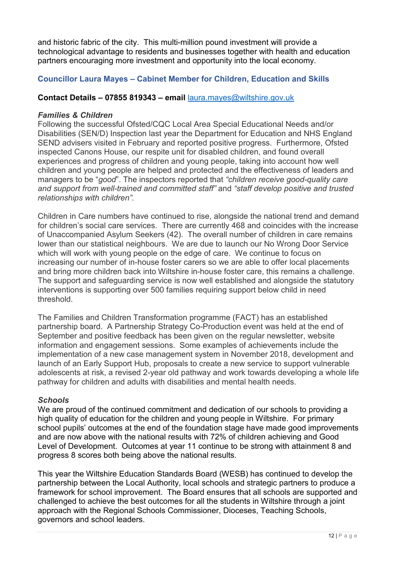and historic fabric of the city. This multi-million pound investment will provide a technological advantage to residents and businesses together with health and education partners encouraging more investment and opportunity into the local economy.

## **Councillor Laura Mayes – Cabinet Member for Children, Education and Skills**

### **Contact Details – 07855 819343 – email** [laura.mayes@wiltshire.gov.uk](mailto:laura.mayes@wiltshire.gov.uk)

#### *Families & Children*

Following the successful Ofsted/CQC Local Area Special Educational Needs and/or Disabilities (SEN/D) Inspection last year the Department for Education and NHS England SEND advisers visited in February and reported positive progress. Furthermore, Ofsted inspected Canons House, our respite unit for disabled children, and found overall experiences and progress of children and young people, taking into account how well children and young people are helped and protected and the effectiveness of leaders and managers to be "*good*". The inspectors reported that *"children receive good-quality care and support from well-trained and committed staff"* and *"staff develop positive and trusted relationships with children".* 

Children in Care numbers have continued to rise, alongside the national trend and demand for children's social care services. There are currently 468 and coincides with the increase of Unaccompanied Asylum Seekers (42). The overall number of children in care remains lower than our statistical neighbours. We are due to launch our No Wrong Door Service which will work with young people on the edge of care. We continue to focus on increasing our number of in-house foster carers so we are able to offer local placements and bring more children back into Wiltshire in-house foster care, this remains a challenge. The support and safeguarding service is now well established and alongside the statutory interventions is supporting over 500 families requiring support below child in need threshold.

The Families and Children Transformation programme (FACT) has an established partnership board. A Partnership Strategy Co-Production event was held at the end of September and positive feedback has been given on the regular newsletter, website information and engagement sessions. Some examples of achievements include the implementation of a new case management system in November 2018, development and launch of an Early Support Hub, proposals to create a new service to support vulnerable adolescents at risk, a revised 2-year old pathway and work towards developing a whole life pathway for children and adults with disabilities and mental health needs.

### *Schools*

We are proud of the continued commitment and dedication of our schools to providing a high quality of education for the children and young people in Wiltshire. For primary school pupils' outcomes at the end of the foundation stage have made good improvements and are now above with the national results with 72% of children achieving and Good Level of Development. Outcomes at year 11 continue to be strong with attainment 8 and progress 8 scores both being above the national results.

This year the Wiltshire Education Standards Board (WESB) has continued to develop the partnership between the Local Authority, local schools and strategic partners to produce a framework for school improvement. The Board ensures that all schools are supported and challenged to achieve the best outcomes for all the students in Wiltshire through a joint approach with the Regional Schools Commissioner, Dioceses, Teaching Schools, governors and school leaders.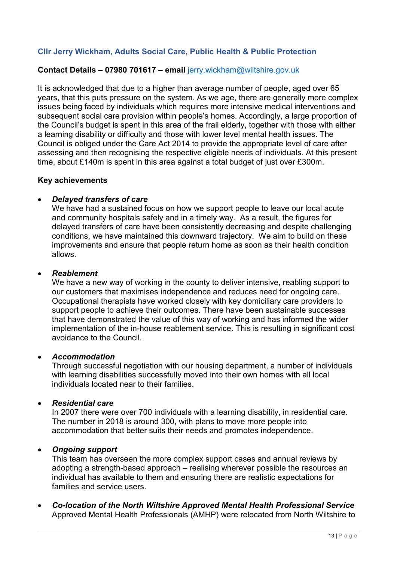## **Cllr Jerry Wickham, Adults Social Care, Public Health & Public Protection**

#### **Contact Details – 07980 701617 – email** [jerry.wickham@wiltshire.gov.uk](mailto:jerry.wickham@wiltshire.gov.uk)

It is acknowledged that due to a higher than average number of people, aged over 65 years, that this puts pressure on the system. As we age, there are generally more complex issues being faced by individuals which requires more intensive medical interventions and subsequent social care provision within people's homes. Accordingly, a large proportion of the Council's budget is spent in this area of the frail elderly, together with those with either a learning disability or difficulty and those with lower level mental health issues. The Council is obliged under the Care Act 2014 to provide the appropriate level of care after assessing and then recognising the respective eligible needs of individuals. At this present time, about £140m is spent in this area against a total budget of just over £300m.

#### **Key achievements**

#### • *Delayed transfers of care*

We have had a sustained focus on how we support people to leave our local acute and community hospitals safely and in a timely way. As a result, the figures for delayed transfers of care have been consistently decreasing and despite challenging conditions, we have maintained this downward trajectory. We aim to build on these improvements and ensure that people return home as soon as their health condition allows.

#### • *Reablement*

We have a new way of working in the county to deliver intensive, reabling support to our customers that maximises independence and reduces need for ongoing care. Occupational therapists have worked closely with key domiciliary care providers to support people to achieve their outcomes. There have been sustainable successes that have demonstrated the value of this way of working and has informed the wider implementation of the in-house reablement service. This is resulting in significant cost avoidance to the Council.

#### • *Accommodation*

Through successful negotiation with our housing department, a number of individuals with learning disabilities successfully moved into their own homes with all local individuals located near to their families.

#### • *Residential care*

In 2007 there were over 700 individuals with a learning disability, in residential care. The number in 2018 is around 300, with plans to move more people into accommodation that better suits their needs and promotes independence.

#### • *Ongoing support*

This team has overseen the more complex support cases and annual reviews by adopting a strength-based approach – realising wherever possible the resources an individual has available to them and ensuring there are realistic expectations for families and service users.

• *Co-location of the North Wiltshire Approved Mental Health Professional Service* Approved Mental Health Professionals (AMHP) were relocated from North Wiltshire to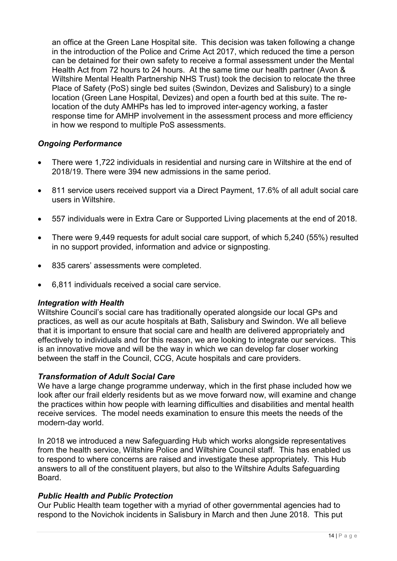an office at the Green Lane Hospital site. This decision was taken following a change in the introduction of the Police and Crime Act 2017, which reduced the time a person can be detained for their own safety to receive a formal assessment under the Mental Health Act from 72 hours to 24 hours. At the same time our health partner (Avon & Wiltshire Mental Health Partnership NHS Trust) took the decision to relocate the three Place of Safety (PoS) single bed suites (Swindon, Devizes and Salisbury) to a single location (Green Lane Hospital, Devizes) and open a fourth bed at this suite. The relocation of the duty AMHPs has led to improved inter-agency working, a faster response time for AMHP involvement in the assessment process and more efficiency in how we respond to multiple PoS assessments.

## *Ongoing Performance*

- There were 1,722 individuals in residential and nursing care in Wiltshire at the end of 2018/19. There were 394 new admissions in the same period.
- 811 service users received support via a Direct Payment, 17.6% of all adult social care users in Wiltshire.
- 557 individuals were in Extra Care or Supported Living placements at the end of 2018.
- There were 9,449 requests for adult social care support, of which 5,240 (55%) resulted in no support provided, information and advice or signposting.
- 835 carers' assessments were completed.
- 6,811 individuals received a social care service.

### *Integration with Health*

Wiltshire Council's social care has traditionally operated alongside our local GPs and practices, as well as our acute hospitals at Bath, Salisbury and Swindon. We all believe that it is important to ensure that social care and health are delivered appropriately and effectively to individuals and for this reason, we are looking to integrate our services. This is an innovative move and will be the way in which we can develop far closer working between the staff in the Council, CCG, Acute hospitals and care providers.

### *Transformation of Adult Social Care*

We have a large change programme underway, which in the first phase included how we look after our frail elderly residents but as we move forward now, will examine and change the practices within how people with learning difficulties and disabilities and mental health receive services. The model needs examination to ensure this meets the needs of the modern-day world.

In 2018 we introduced a new Safeguarding Hub which works alongside representatives from the health service, Wiltshire Police and Wiltshire Council staff. This has enabled us to respond to where concerns are raised and investigate these appropriately. This Hub answers to all of the constituent players, but also to the Wiltshire Adults Safeguarding Board.

### *Public Health and Public Protection*

Our Public Health team together with a myriad of other governmental agencies had to respond to the Novichok incidents in Salisbury in March and then June 2018. This put